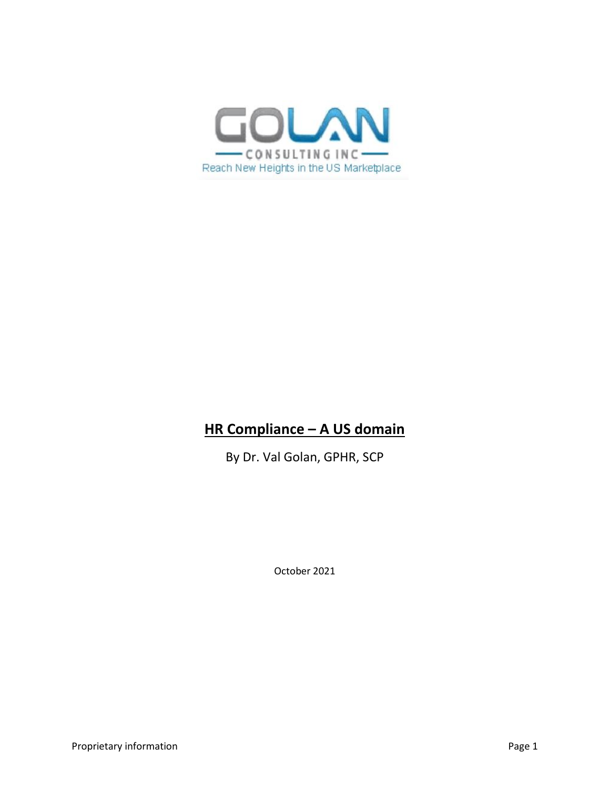

# **HR Compliance – A US domain**

By Dr. Val Golan, GPHR, SCP

October 2021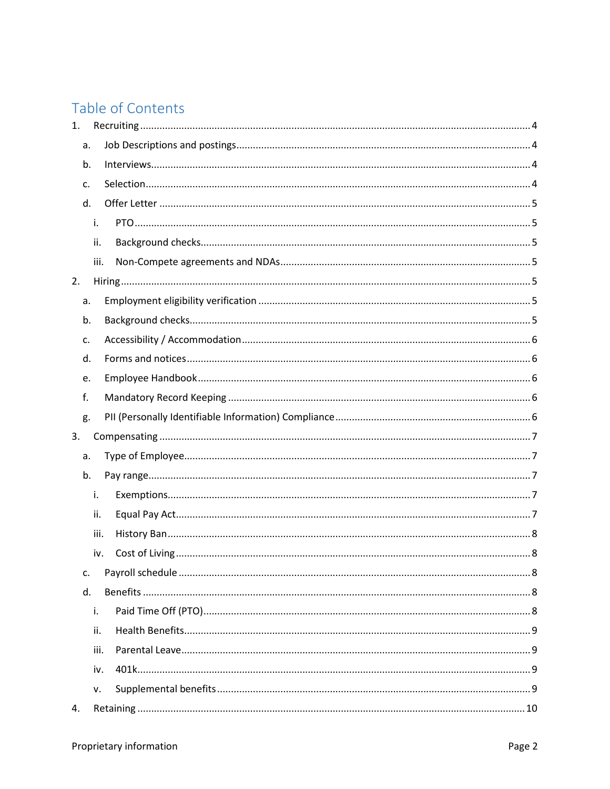# Table of Contents

| 1. |      |  |
|----|------|--|
| a. |      |  |
| b. |      |  |
| c. |      |  |
| d. |      |  |
|    | i.   |  |
|    | ii.  |  |
|    | iii. |  |
| 2. |      |  |
| a. |      |  |
| b. |      |  |
| c. |      |  |
| d. |      |  |
| e. |      |  |
| f. |      |  |
| g. |      |  |
| 3. |      |  |
| a. |      |  |
| b. |      |  |
|    | i.   |  |
|    | ii.  |  |
|    | iii. |  |
|    | iv.  |  |
| c. |      |  |
| d. |      |  |
|    | i.   |  |
|    | ii.  |  |
|    | iii. |  |
|    | iv.  |  |
|    | v.   |  |
| 4. |      |  |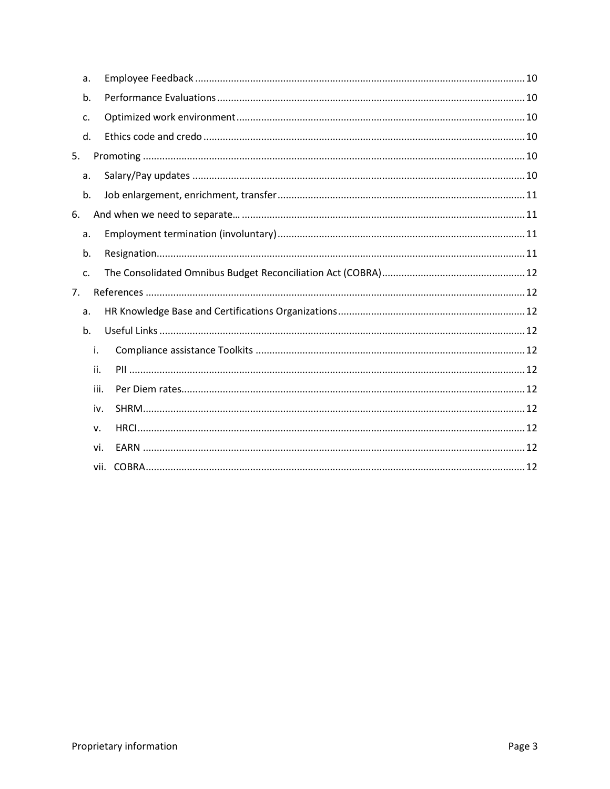| a. |      |  |
|----|------|--|
| b. |      |  |
| c. |      |  |
| d. |      |  |
| 5. |      |  |
| a. |      |  |
| b. |      |  |
| 6. |      |  |
| a. |      |  |
| b. |      |  |
| c. |      |  |
| 7. |      |  |
| a. |      |  |
| b. |      |  |
|    | i.   |  |
|    | ii.  |  |
|    | iii. |  |
|    | iv.  |  |
|    | v.   |  |
|    | vi.  |  |
|    |      |  |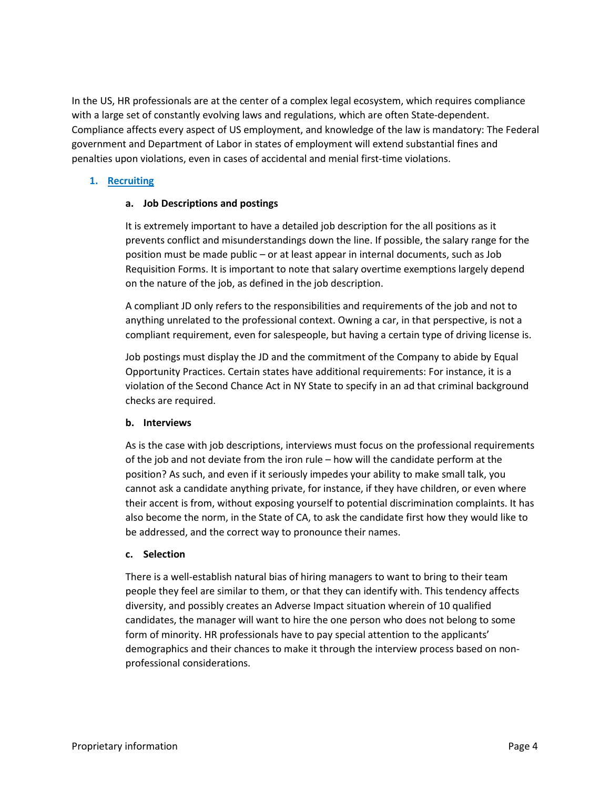In the US, HR professionals are at the center of a complex legal ecosystem, which requires compliance with a large set of constantly evolving laws and regulations, which are often State-dependent. Compliance affects every aspect of US employment, and knowledge of the law is mandatory: The Federal government and Department of Labor in states of employment will extend substantial fines and penalties upon violations, even in cases of accidental and menial first-time violations.

# <span id="page-3-1"></span><span id="page-3-0"></span>**1. Recruiting**

# **a. Job Descriptions and postings**

It is extremely important to have a detailed job description for the all positions as it prevents conflict and misunderstandings down the line. If possible, the salary range for the position must be made public – or at least appear in internal documents, such as Job Requisition Forms. It is important to note that salary overtime exemptions largely depend on the nature of the job, as defined in the job description.

A compliant JD only refers to the responsibilities and requirements of the job and not to anything unrelated to the professional context. Owning a car, in that perspective, is not a compliant requirement, even for salespeople, but having a certain type of driving license is.

Job postings must display the JD and the commitment of the Company to abide by Equal Opportunity Practices. Certain states have additional requirements: For instance, it is a violation of the Second Chance Act in NY State to specify in an ad that criminal background checks are required.

## <span id="page-3-2"></span>**b. Interviews**

As is the case with job descriptions, interviews must focus on the professional requirements of the job and not deviate from the iron rule – how will the candidate perform at the position? As such, and even if it seriously impedes your ability to make small talk, you cannot ask a candidate anything private, for instance, if they have children, or even where their accent is from, without exposing yourself to potential discrimination complaints. It has also become the norm, in the State of CA, to ask the candidate first how they would like to be addressed, and the correct way to pronounce their names.

## <span id="page-3-3"></span>**c. Selection**

There is a well-establish natural bias of hiring managers to want to bring to their team people they feel are similar to them, or that they can identify with. This tendency affects diversity, and possibly creates an Adverse Impact situation wherein of 10 qualified candidates, the manager will want to hire the one person who does not belong to some form of minority. HR professionals have to pay special attention to the applicants' demographics and their chances to make it through the interview process based on nonprofessional considerations.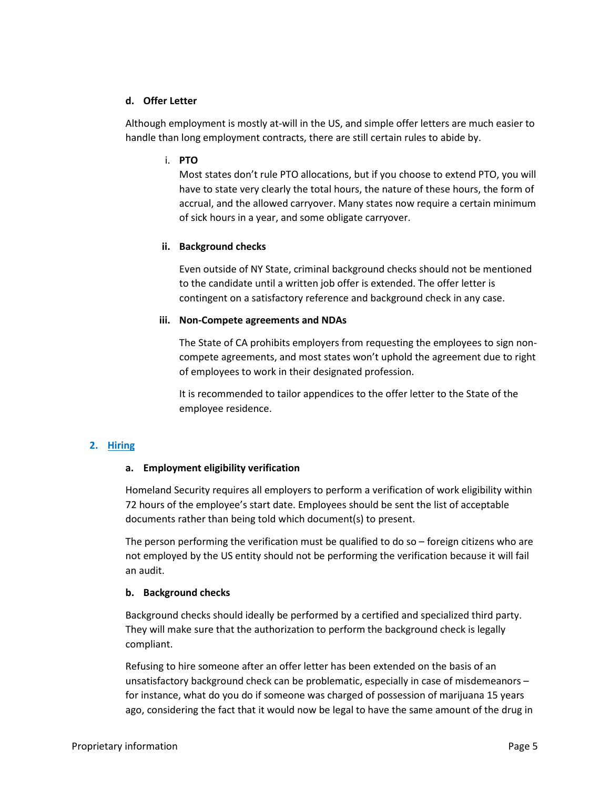## <span id="page-4-0"></span>**d. Offer Letter**

<span id="page-4-1"></span>Although employment is mostly at-will in the US, and simple offer letters are much easier to handle than long employment contracts, there are still certain rules to abide by.

## i. **PTO**

Most states don't rule PTO allocations, but if you choose to extend PTO, you will have to state very clearly the total hours, the nature of these hours, the form of accrual, and the allowed carryover. Many states now require a certain minimum of sick hours in a year, and some obligate carryover.

## <span id="page-4-2"></span>**ii. Background checks**

Even outside of NY State, criminal background checks should not be mentioned to the candidate until a written job offer is extended. The offer letter is contingent on a satisfactory reference and background check in any case.

# <span id="page-4-3"></span>**iii. Non-Compete agreements and NDAs**

The State of CA prohibits employers from requesting the employees to sign noncompete agreements, and most states won't uphold the agreement due to right of employees to work in their designated profession.

It is recommended to tailor appendices to the offer letter to the State of the employee residence.

# <span id="page-4-5"></span><span id="page-4-4"></span>**2. Hiring**

## **a. Employment eligibility verification**

Homeland Security requires all employers to perform a verification of work eligibility within 72 hours of the employee's start date. Employees should be sent the list of acceptable documents rather than being told which document(s) to present.

The person performing the verification must be qualified to do so – foreign citizens who are not employed by the US entity should not be performing the verification because it will fail an audit.

## <span id="page-4-6"></span>**b. Background checks**

Background checks should ideally be performed by a certified and specialized third party. They will make sure that the authorization to perform the background check is legally compliant.

Refusing to hire someone after an offer letter has been extended on the basis of an unsatisfactory background check can be problematic, especially in case of misdemeanors – for instance, what do you do if someone was charged of possession of marijuana 15 years ago, considering the fact that it would now be legal to have the same amount of the drug in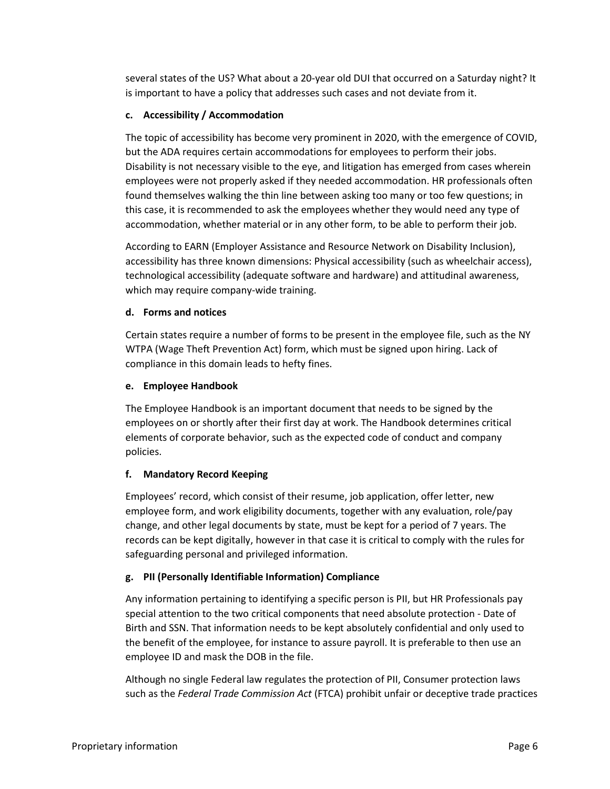several states of the US? What about a 20-year old DUI that occurred on a Saturday night? It is important to have a policy that addresses such cases and not deviate from it.

# <span id="page-5-0"></span>**c. Accessibility / Accommodation**

The topic of accessibility has become very prominent in 2020, with the emergence of COVID, but the ADA requires certain accommodations for employees to perform their jobs. Disability is not necessary visible to the eye, and litigation has emerged from cases wherein employees were not properly asked if they needed accommodation. HR professionals often found themselves walking the thin line between asking too many or too few questions; in this case, it is recommended to ask the employees whether they would need any type of accommodation, whether material or in any other form, to be able to perform their job.

According to EARN (Employer Assistance and Resource Network on Disability Inclusion), accessibility has three known dimensions: Physical accessibility (such as wheelchair access), technological accessibility (adequate software and hardware) and attitudinal awareness, which may require company-wide training.

# <span id="page-5-1"></span>**d. Forms and notices**

Certain states require a number of forms to be present in the employee file, such as the NY WTPA (Wage Theft Prevention Act) form, which must be signed upon hiring. Lack of compliance in this domain leads to hefty fines.

# <span id="page-5-2"></span>**e. Employee Handbook**

The Employee Handbook is an important document that needs to be signed by the employees on or shortly after their first day at work. The Handbook determines critical elements of corporate behavior, such as the expected code of conduct and company policies.

# <span id="page-5-3"></span>**f. Mandatory Record Keeping**

Employees' record, which consist of their resume, job application, offer letter, new employee form, and work eligibility documents, together with any evaluation, role/pay change, and other legal documents by state, must be kept for a period of 7 years. The records can be kept digitally, however in that case it is critical to comply with the rules for safeguarding personal and privileged information.

# <span id="page-5-4"></span>**g. PII (Personally Identifiable Information) Compliance**

Any information pertaining to identifying a specific person is PII, but HR Professionals pay special attention to the two critical components that need absolute protection - Date of Birth and SSN. That information needs to be kept absolutely confidential and only used to the benefit of the employee, for instance to assure payroll. It is preferable to then use an employee ID and mask the DOB in the file.

Although no single Federal law regulates the protection of PII, Consumer protection laws such as the *Federal Trade Commission Act* (FTCA) prohibit unfair or deceptive trade practices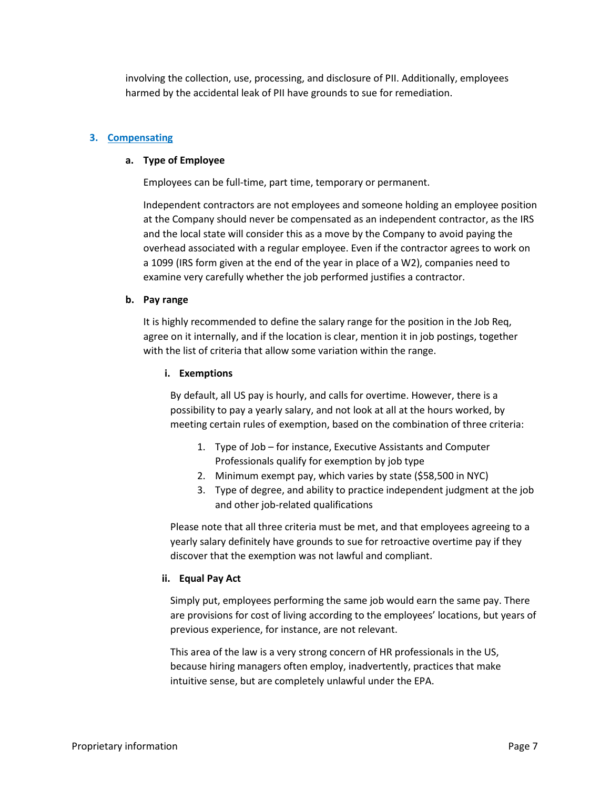involving the collection, use, processing, and disclosure of PII. Additionally, employees harmed by the accidental leak of PII have grounds to sue for remediation.

### <span id="page-6-1"></span><span id="page-6-0"></span>**3. Compensating**

#### **a. Type of Employee**

Employees can be full-time, part time, temporary or permanent.

Independent contractors are not employees and someone holding an employee position at the Company should never be compensated as an independent contractor, as the IRS and the local state will consider this as a move by the Company to avoid paying the overhead associated with a regular employee. Even if the contractor agrees to work on a 1099 (IRS form given at the end of the year in place of a W2), companies need to examine very carefully whether the job performed justifies a contractor.

#### <span id="page-6-2"></span>**b. Pay range**

<span id="page-6-3"></span>It is highly recommended to define the salary range for the position in the Job Req, agree on it internally, and if the location is clear, mention it in job postings, together with the list of criteria that allow some variation within the range.

#### **i. Exemptions**

By default, all US pay is hourly, and calls for overtime. However, there is a possibility to pay a yearly salary, and not look at all at the hours worked, by meeting certain rules of exemption, based on the combination of three criteria:

- 1. Type of Job for instance, Executive Assistants and Computer Professionals qualify for exemption by job type
- 2. Minimum exempt pay, which varies by state (\$58,500 in NYC)
- 3. Type of degree, and ability to practice independent judgment at the job and other job-related qualifications

Please note that all three criteria must be met, and that employees agreeing to a yearly salary definitely have grounds to sue for retroactive overtime pay if they discover that the exemption was not lawful and compliant.

#### <span id="page-6-4"></span>**ii. Equal Pay Act**

Simply put, employees performing the same job would earn the same pay. There are provisions for cost of living according to the employees' locations, but years of previous experience, for instance, are not relevant.

This area of the law is a very strong concern of HR professionals in the US, because hiring managers often employ, inadvertently, practices that make intuitive sense, but are completely unlawful under the EPA.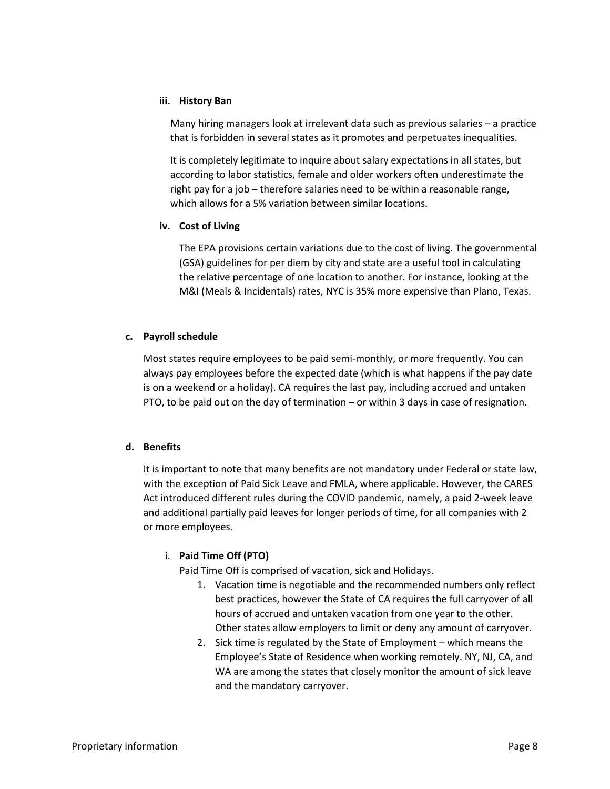### <span id="page-7-0"></span>**iii. History Ban**

Many hiring managers look at irrelevant data such as previous salaries – a practice that is forbidden in several states as it promotes and perpetuates inequalities.

It is completely legitimate to inquire about salary expectations in all states, but according to labor statistics, female and older workers often underestimate the right pay for a job – therefore salaries need to be within a reasonable range, which allows for a 5% variation between similar locations.

## <span id="page-7-1"></span>**iv. Cost of Living**

The EPA provisions certain variations due to the cost of living. The governmental (GSA) guidelines for per diem by city and state are a useful tool in calculating the relative percentage of one location to another. For instance, looking at the M&I (Meals & Incidentals) rates, NYC is 35% more expensive than Plano, Texas.

## <span id="page-7-2"></span>**c. Payroll schedule**

Most states require employees to be paid semi-monthly, or more frequently. You can always pay employees before the expected date (which is what happens if the pay date is on a weekend or a holiday). CA requires the last pay, including accrued and untaken PTO, to be paid out on the day of termination – or within 3 days in case of resignation.

## <span id="page-7-3"></span>**d. Benefits**

It is important to note that many benefits are not mandatory under Federal or state law, with the exception of Paid Sick Leave and FMLA, where applicable. However, the CARES Act introduced different rules during the COVID pandemic, namely, a paid 2-week leave and additional partially paid leaves for longer periods of time, for all companies with 2 or more employees.

# <span id="page-7-4"></span>i. **Paid Time Off (PTO)**

Paid Time Off is comprised of vacation, sick and Holidays.

- 1. Vacation time is negotiable and the recommended numbers only reflect best practices, however the State of CA requires the full carryover of all hours of accrued and untaken vacation from one year to the other. Other states allow employers to limit or deny any amount of carryover.
- 2. Sick time is regulated by the State of Employment which means the Employee's State of Residence when working remotely. NY, NJ, CA, and WA are among the states that closely monitor the amount of sick leave and the mandatory carryover.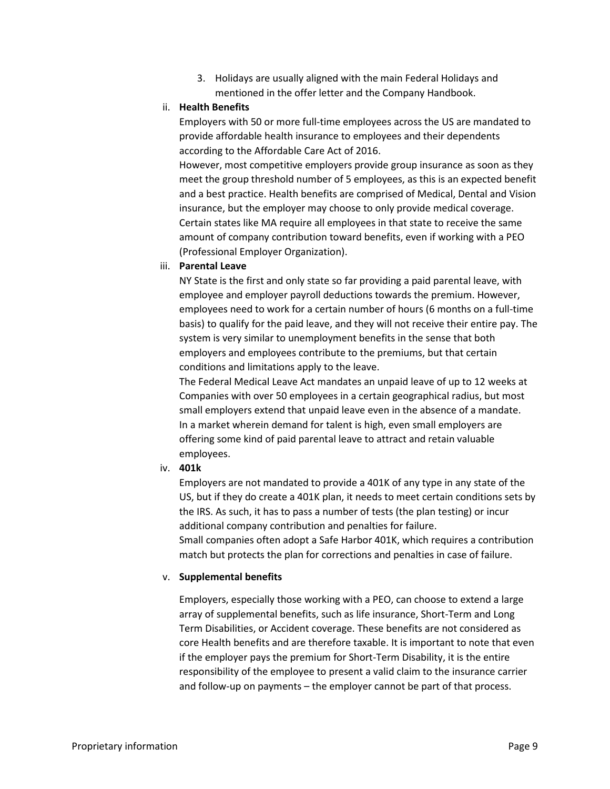3. Holidays are usually aligned with the main Federal Holidays and mentioned in the offer letter and the Company Handbook.

## <span id="page-8-0"></span>ii. **Health Benefits**

Employers with 50 or more full-time employees across the US are mandated to provide affordable health insurance to employees and their dependents according to the Affordable Care Act of 2016.

However, most competitive employers provide group insurance as soon as they meet the group threshold number of 5 employees, as this is an expected benefit and a best practice. Health benefits are comprised of Medical, Dental and Vision insurance, but the employer may choose to only provide medical coverage. Certain states like MA require all employees in that state to receive the same amount of company contribution toward benefits, even if working with a PEO (Professional Employer Organization).

## <span id="page-8-1"></span>iii. **Parental Leave**

NY State is the first and only state so far providing a paid parental leave, with employee and employer payroll deductions towards the premium. However, employees need to work for a certain number of hours (6 months on a full-time basis) to qualify for the paid leave, and they will not receive their entire pay. The system is very similar to unemployment benefits in the sense that both employers and employees contribute to the premiums, but that certain conditions and limitations apply to the leave.

The Federal Medical Leave Act mandates an unpaid leave of up to 12 weeks at Companies with over 50 employees in a certain geographical radius, but most small employers extend that unpaid leave even in the absence of a mandate. In a market wherein demand for talent is high, even small employers are offering some kind of paid parental leave to attract and retain valuable employees.

## <span id="page-8-2"></span>iv. **401k**

Employers are not mandated to provide a 401K of any type in any state of the US, but if they do create a 401K plan, it needs to meet certain conditions sets by the IRS. As such, it has to pass a number of tests (the plan testing) or incur additional company contribution and penalties for failure.

Small companies often adopt a Safe Harbor 401K, which requires a contribution match but protects the plan for corrections and penalties in case of failure.

## <span id="page-8-3"></span>v. **Supplemental benefits**

Employers, especially those working with a PEO, can choose to extend a large array of supplemental benefits, such as life insurance, Short-Term and Long Term Disabilities, or Accident coverage. These benefits are not considered as core Health benefits and are therefore taxable. It is important to note that even if the employer pays the premium for Short-Term Disability, it is the entire responsibility of the employee to present a valid claim to the insurance carrier and follow-up on payments – the employer cannot be part of that process.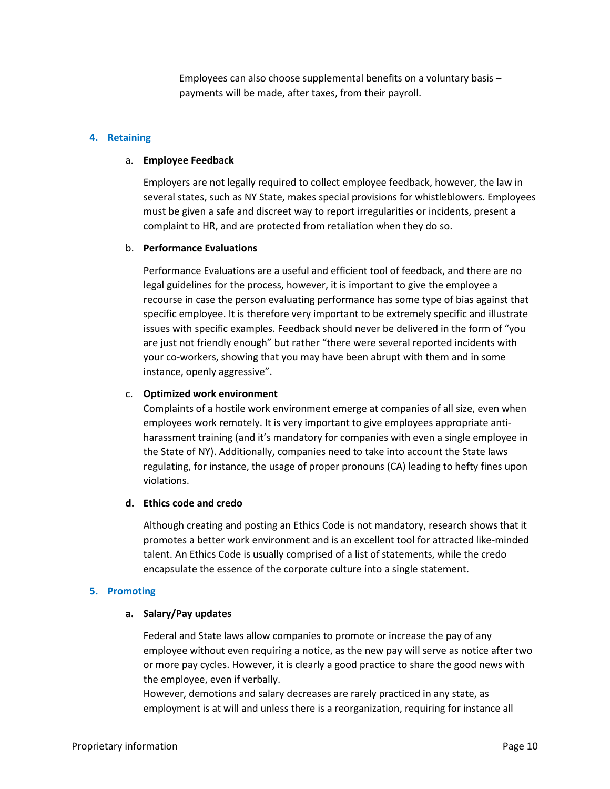Employees can also choose supplemental benefits on a voluntary basis – payments will be made, after taxes, from their payroll.

### <span id="page-9-1"></span><span id="page-9-0"></span>**4. Retaining**

#### a. **Employee Feedback**

Employers are not legally required to collect employee feedback, however, the law in several states, such as NY State, makes special provisions for whistleblowers. Employees must be given a safe and discreet way to report irregularities or incidents, present a complaint to HR, and are protected from retaliation when they do so.

#### <span id="page-9-2"></span>b. **Performance Evaluations**

Performance Evaluations are a useful and efficient tool of feedback, and there are no legal guidelines for the process, however, it is important to give the employee a recourse in case the person evaluating performance has some type of bias against that specific employee. It is therefore very important to be extremely specific and illustrate issues with specific examples. Feedback should never be delivered in the form of "you are just not friendly enough" but rather "there were several reported incidents with your co-workers, showing that you may have been abrupt with them and in some instance, openly aggressive".

#### <span id="page-9-3"></span>c. **Optimized work environment**

Complaints of a hostile work environment emerge at companies of all size, even when employees work remotely. It is very important to give employees appropriate antiharassment training (and it's mandatory for companies with even a single employee in the State of NY). Additionally, companies need to take into account the State laws regulating, for instance, the usage of proper pronouns (CA) leading to hefty fines upon violations.

#### <span id="page-9-4"></span>**d. Ethics code and credo**

Although creating and posting an Ethics Code is not mandatory, research shows that it promotes a better work environment and is an excellent tool for attracted like-minded talent. An Ethics Code is usually comprised of a list of statements, while the credo encapsulate the essence of the corporate culture into a single statement.

#### <span id="page-9-6"></span><span id="page-9-5"></span>**5. Promoting**

#### **a. Salary/Pay updates**

Federal and State laws allow companies to promote or increase the pay of any employee without even requiring a notice, as the new pay will serve as notice after two or more pay cycles. However, it is clearly a good practice to share the good news with the employee, even if verbally.

However, demotions and salary decreases are rarely practiced in any state, as employment is at will and unless there is a reorganization, requiring for instance all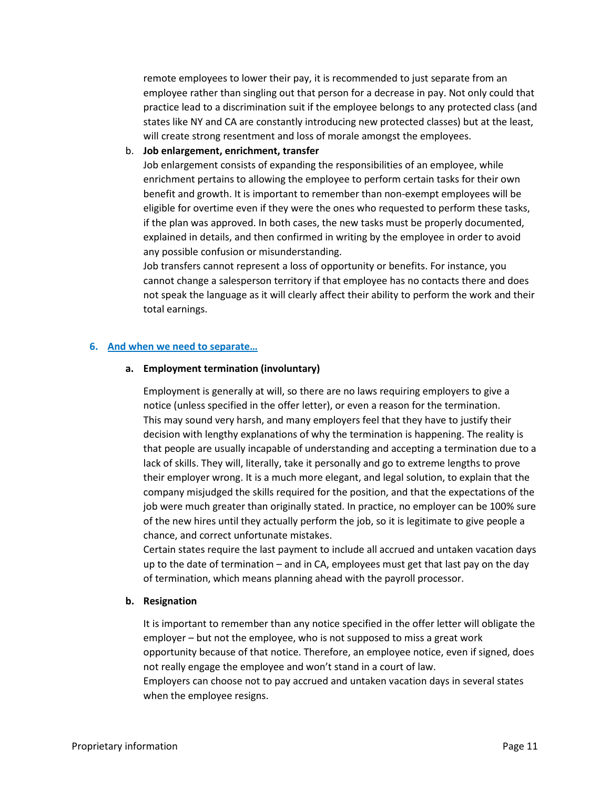remote employees to lower their pay, it is recommended to just separate from an employee rather than singling out that person for a decrease in pay. Not only could that practice lead to a discrimination suit if the employee belongs to any protected class (and states like NY and CA are constantly introducing new protected classes) but at the least, will create strong resentment and loss of morale amongst the employees.

<span id="page-10-0"></span>b. **Job enlargement, enrichment, transfer**

Job enlargement consists of expanding the responsibilities of an employee, while enrichment pertains to allowing the employee to perform certain tasks for their own benefit and growth. It is important to remember than non-exempt employees will be eligible for overtime even if they were the ones who requested to perform these tasks, if the plan was approved. In both cases, the new tasks must be properly documented, explained in details, and then confirmed in writing by the employee in order to avoid any possible confusion or misunderstanding.

Job transfers cannot represent a loss of opportunity or benefits. For instance, you cannot change a salesperson territory if that employee has no contacts there and does not speak the language as it will clearly affect their ability to perform the work and their total earnings.

### <span id="page-10-2"></span><span id="page-10-1"></span>**6. And when we need to separate…**

### **a. Employment termination (involuntary)**

Employment is generally at will, so there are no laws requiring employers to give a notice (unless specified in the offer letter), or even a reason for the termination. This may sound very harsh, and many employers feel that they have to justify their decision with lengthy explanations of why the termination is happening. The reality is that people are usually incapable of understanding and accepting a termination due to a lack of skills. They will, literally, take it personally and go to extreme lengths to prove their employer wrong. It is a much more elegant, and legal solution, to explain that the company misjudged the skills required for the position, and that the expectations of the job were much greater than originally stated. In practice, no employer can be 100% sure of the new hires until they actually perform the job, so it is legitimate to give people a chance, and correct unfortunate mistakes.

Certain states require the last payment to include all accrued and untaken vacation days up to the date of termination – and in CA, employees must get that last pay on the day of termination, which means planning ahead with the payroll processor.

#### <span id="page-10-3"></span>**b. Resignation**

It is important to remember than any notice specified in the offer letter will obligate the employer – but not the employee, who is not supposed to miss a great work opportunity because of that notice. Therefore, an employee notice, even if signed, does not really engage the employee and won't stand in a court of law.

Employers can choose not to pay accrued and untaken vacation days in several states when the employee resigns.